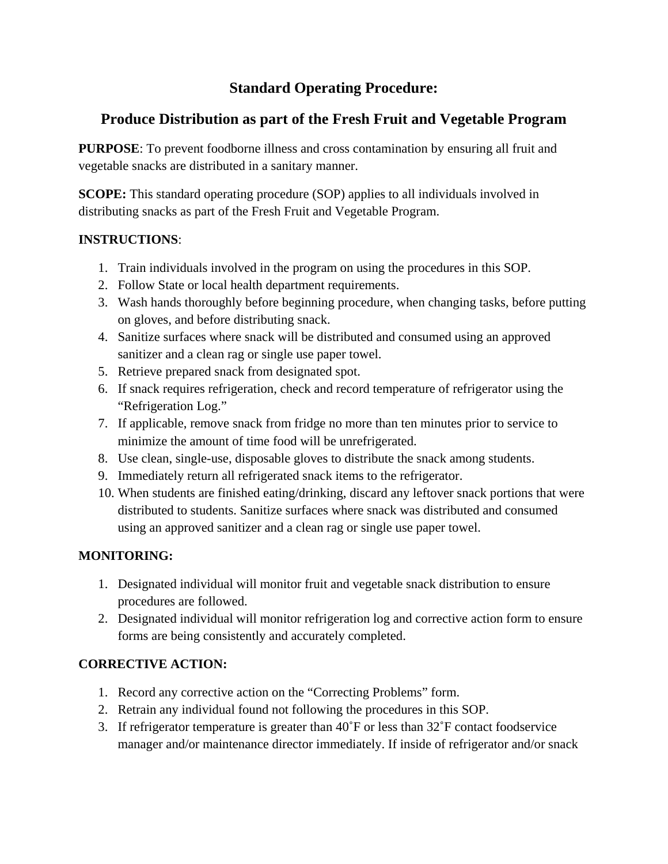# **Standard Operating Procedure:**

# **Produce Distribution as part of the Fresh Fruit and Vegetable Program**

**PURPOSE**: To prevent foodborne illness and cross contamination by ensuring all fruit and vegetable snacks are distributed in a sanitary manner.

**SCOPE:** This standard operating procedure (SOP) applies to all individuals involved in distributing snacks as part of the Fresh Fruit and Vegetable Program.

#### **INSTRUCTIONS**:

- 1. Train individuals involved in the program on using the procedures in this SOP.
- 2. Follow State or local health department requirements.
- 3. Wash hands thoroughly before beginning procedure, when changing tasks, before putting on gloves, and before distributing snack.
- 4. Sanitize surfaces where snack will be distributed and consumed using an approved sanitizer and a clean rag or single use paper towel.
- 5. Retrieve prepared snack from designated spot.
- 6. If snack requires refrigeration, check and record temperature of refrigerator using the "Refrigeration Log."
- 7. If applicable, remove snack from fridge no more than ten minutes prior to service to minimize the amount of time food will be unrefrigerated.
- 8. Use clean, single-use, disposable gloves to distribute the snack among students.
- 9. Immediately return all refrigerated snack items to the refrigerator.
- 10. When students are finished eating/drinking, discard any leftover snack portions that were distributed to students. Sanitize surfaces where snack was distributed and consumed using an approved sanitizer and a clean rag or single use paper towel.

#### **MONITORING:**

- 1. Designated individual will monitor fruit and vegetable snack distribution to ensure procedures are followed.
- 2. Designated individual will monitor refrigeration log and corrective action form to ensure forms are being consistently and accurately completed.

#### **CORRECTIVE ACTION:**

- 1. Record any corrective action on the "Correcting Problems" form.
- 2. Retrain any individual found not following the procedures in this SOP.
- 3. If refrigerator temperature is greater than 40˚F or less than 32˚F contact foodservice manager and/or maintenance director immediately. If inside of refrigerator and/or snack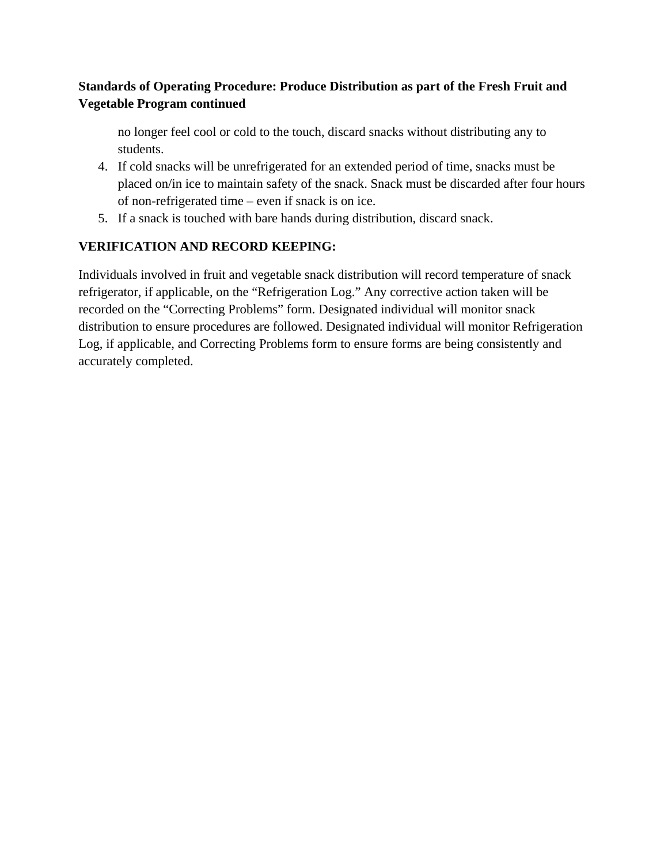#### **Standards of Operating Procedure: Produce Distribution as part of the Fresh Fruit and Vegetable Program continued**

no longer feel cool or cold to the touch, discard snacks without distributing any to students.

- 4. If cold snacks will be unrefrigerated for an extended period of time, snacks must be placed on/in ice to maintain safety of the snack. Snack must be discarded after four hours of non-refrigerated time – even if snack is on ice.
- 5. If a snack is touched with bare hands during distribution, discard snack.

## **VERIFICATION AND RECORD KEEPING:**

Individuals involved in fruit and vegetable snack distribution will record temperature of snack refrigerator, if applicable, on the "Refrigeration Log." Any corrective action taken will be recorded on the "Correcting Problems" form. Designated individual will monitor snack distribution to ensure procedures are followed. Designated individual will monitor Refrigeration Log, if applicable, and Correcting Problems form to ensure forms are being consistently and accurately completed.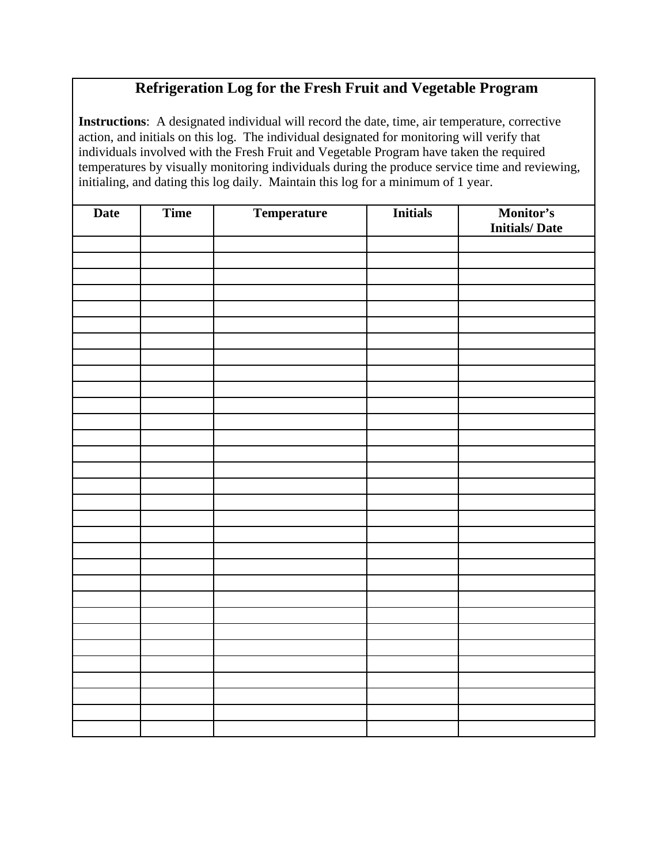# **Refrigeration Log for the Fresh Fruit and Vegetable Program**

**Instructions**: A designated individual will record the date, time, air temperature, corrective action, and initials on this log. The individual designated for monitoring will verify that individuals involved with the Fresh Fruit and Vegetable Program have taken the required temperatures by visually monitoring individuals during the produce service time and reviewing, initialing, and dating this log daily. Maintain this log for a minimum of 1 year.

| <b>Date</b> | Time | <b>Temperature</b> | <b>Initials</b> | <b>Monitor's</b><br>Initials/Date |
|-------------|------|--------------------|-----------------|-----------------------------------|
|             |      |                    |                 |                                   |
|             |      |                    |                 |                                   |
|             |      |                    |                 |                                   |
|             |      |                    |                 |                                   |
|             |      |                    |                 |                                   |
|             |      |                    |                 |                                   |
|             |      |                    |                 |                                   |
|             |      |                    |                 |                                   |
|             |      |                    |                 |                                   |
|             |      |                    |                 |                                   |
|             |      |                    |                 |                                   |
|             |      |                    |                 |                                   |
|             |      |                    |                 |                                   |
|             |      |                    |                 |                                   |
|             |      |                    |                 |                                   |
|             |      |                    |                 |                                   |
|             |      |                    |                 |                                   |
|             |      |                    |                 |                                   |
|             |      |                    |                 |                                   |
|             |      |                    |                 |                                   |
|             |      |                    |                 |                                   |
|             |      |                    |                 |                                   |
|             |      |                    |                 |                                   |
|             |      |                    |                 |                                   |
|             |      |                    |                 |                                   |
|             |      |                    |                 |                                   |
|             |      |                    |                 |                                   |
|             |      |                    |                 |                                   |
|             |      |                    |                 |                                   |
|             |      |                    |                 |                                   |
|             |      |                    |                 |                                   |